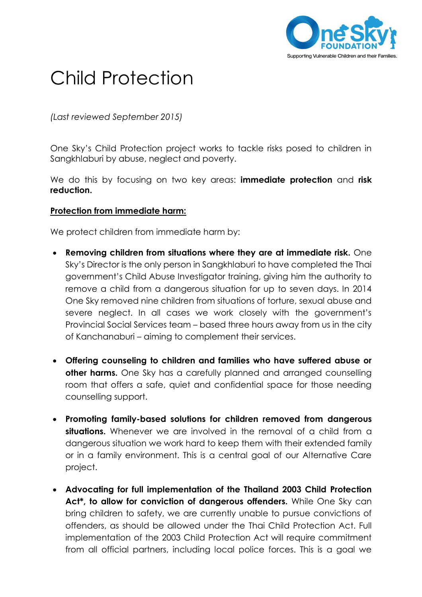

## Child Protection

*(Last reviewed September 2015)*

One Sky's Child Protection project works to tackle risks posed to children in Sangkhlaburi by abuse, neglect and poverty.

We do this by focusing on two key areas: **immediate protection** and **risk reduction.**

## **Protection from immediate harm:**

We protect children from immediate harm by:

- **Removing children from situations where they are at immediate risk.** One Sky's Director is the only person in Sangkhlaburi to have completed the Thai government's Child Abuse Investigator training, giving him the authority to remove a child from a dangerous situation for up to seven days. In 2014 One Sky removed nine children from situations of torture, sexual abuse and severe neglect. In all cases we work closely with the government's Provincial Social Services team – based three hours away from us in the city of Kanchanaburi – aiming to complement their services.
- **Offering counseling to children and families who have suffered abuse or other harms.** One Sky has a carefully planned and arranged counselling room that offers a safe, quiet and confidential space for those needing counselling support.
- **Promoting family-based solutions for children removed from dangerous situations.** Whenever we are involved in the removal of a child from a dangerous situation we work hard to keep them with their extended family or in a family environment. This is a central goal of our Alternative Care project.
- **Advocating for full implementation of the Thailand 2003 Child Protection Act\*, to allow for conviction of dangerous offenders.** While One Sky can bring children to safety, we are currently unable to pursue convictions of offenders, as should be allowed under the Thai Child Protection Act. Full implementation of the 2003 Child Protection Act will require commitment from all official partners, including local police forces. This is a goal we